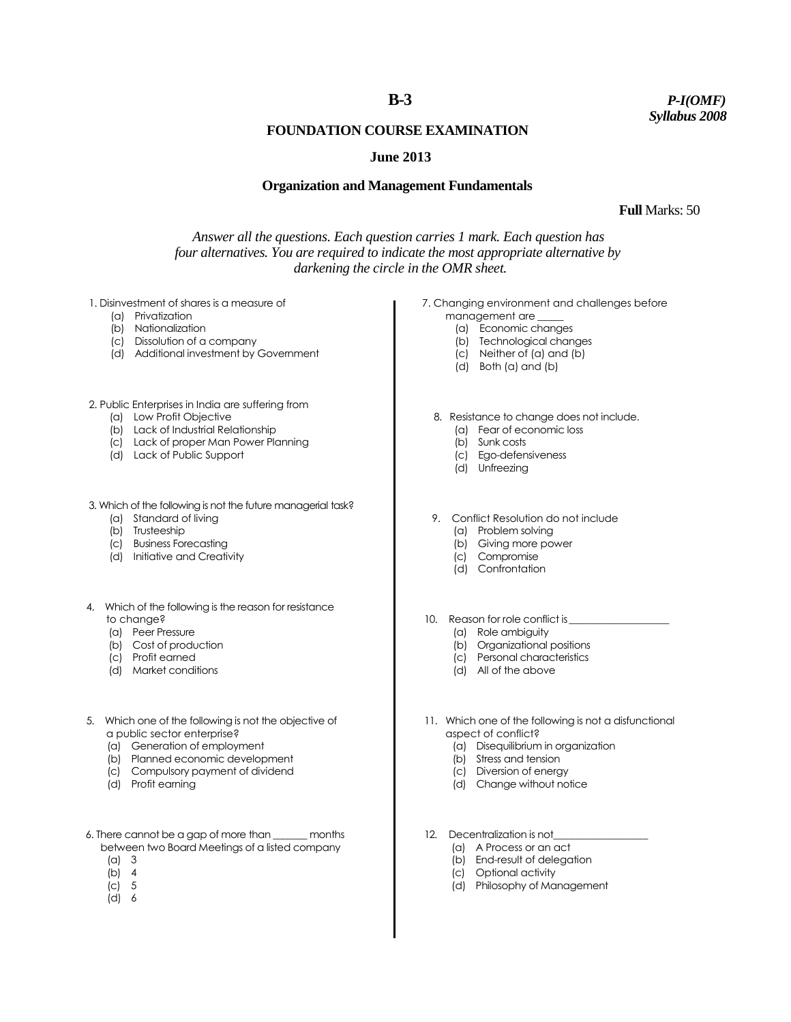# **B-3**

*P-I(OMF) Syllabus 2008*

# **FOUNDATION COURSE EXAMINATION**

### **June 2013**

#### **Organization and Management Fundamentals**

 **Full** Marks: 50

*Answer all the questions. Each question carries 1 mark. Each question has four alternatives. You are required to indicate the most appropriate alternative by darkening the circle in the OMR sheet.*

1. Disinvestment of shares is a measure of

- (a) Privatization
- (b) Nationalization
- (c) Dissolution of a company
- (d) Additional investment by Government

2. Public Enterprises in India are suffering from

- (a) Low Profit Objective
- (b) Lack of Industrial Relationship
- (c) Lack of proper Man Power Planning
- (d) Lack of Public Support
- 3. Which of the following is not the future managerial task?
	- (a) Standard of living
	- (b) Trusteeship
	- (c) Business Forecasting
	- (d) Initiative and Creativity
- 4. Which of the following is the reason for resistance to change?
	- (a) Peer Pressure
	- (b) Cost of production
	- (c) Profit earned
	- (d) Market conditions
- 5. Which one of the following is not the objective of a public sector enterprise?
	- (a) Generation of employment
	- (b) Planned economic development
	- (c) Compulsory payment of dividend
	- (d) Profit earning
- 6. There cannot be a gap of more than \_\_\_\_\_\_\_ months between two Board Meetings of a listed company
	- (a) 3
	- (b) 4
	- (c) 5
	- (d) 6
- 7. Changing environment and challenges before
	- management are \_\_\_\_\_
		- (a) Economic changes
		- (b) Technological changes (c) Neither of (a) and (b)
		- (d) Both (a) and (b)
		-
	- 8. Resistance to change does not include.
		- (a) Fear of economic loss
		- (b) Sunk costs
		- (c) Ego-defensiveness
		- (d) Unfreezing
	- 9. Conflict Resolution do not include
		- (a) Problem solving
		- (b) Giving more power
		- (c) Compromise
		- (d) Confrontation
- 10. Reason for role conflict is
	- (a) Role ambiguity
	- (b) Organizational positions (c) Personal characteristics
	-
	- (d) All of the above
- 11. Which one of the following is not a disfunctional aspect of conflict?
	- (a) Disequilibrium in organization
	- (b) Stress and tension
	- (c) Diversion of energy
	- (d) Change without notice
- 12. Decentralization is not
	- (a) A Process or an act
	- (b) End-result of delegation
	- (c) Optional activity
	- (d) Philosophy of Management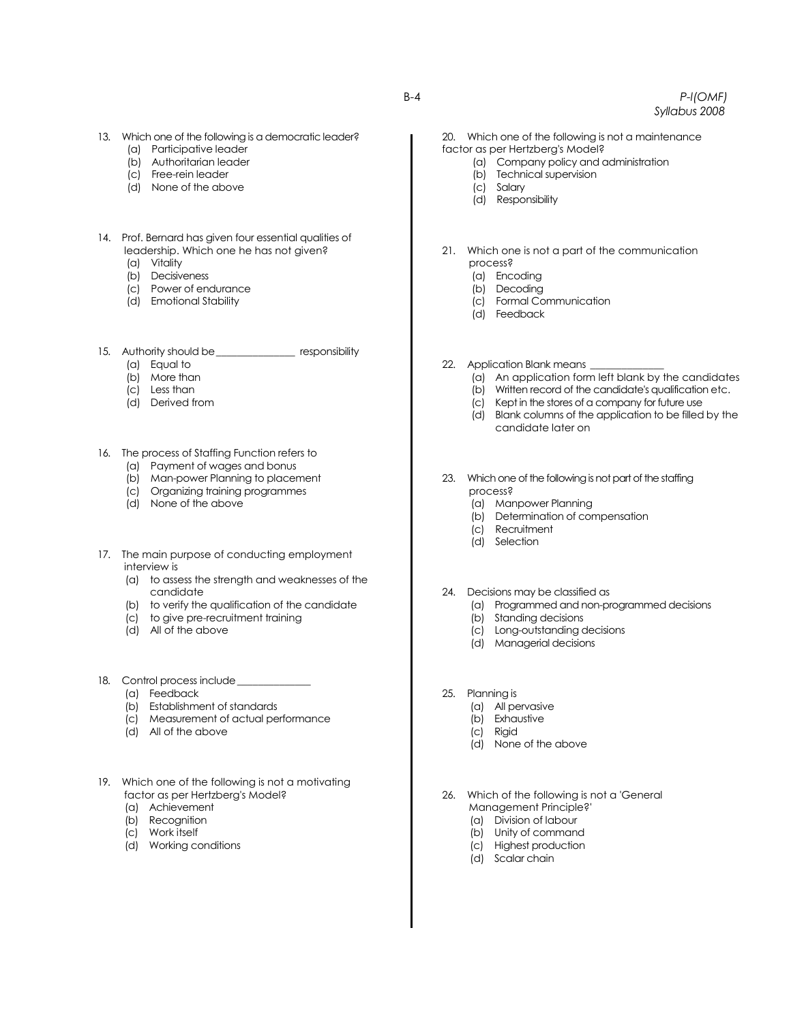- 13. Which one of the following is a democratic leader?
	- (a) Participative leader
	- (b) Authoritarian leader
	- (c) Free-rein leader
	- (d) None of the above
- 14. Prof. Bernard has given four essential qualities of leadership. Which one he has not given?
	- (a) Vitality
	- (b) Decisiveness
	- (c) Power of endurance
	- (d) Emotional Stability
- 15. Authority should be\_\_\_\_\_\_\_\_\_\_\_\_\_\_\_ responsibility
	- (a) Equal to
	- (b) More than
	- (c) Less than
	- (d) Derived from
- 16. The process of Staffing Function refers to
	- (a) Payment of wages and bonus
	- (b) Man-power Planning to placement
	- (c) Organizing training programmes
	- (d) None of the above
- 17. The main purpose of conducting employment interview is
	- (a) to assess the strength and weaknesses of the candidate
	- (b) to verify the qualification of the candidate
	- (c) to give pre-recruitment training
	- (d) All of the above
- 18. Control process include\_\_\_\_\_\_\_\_\_\_\_\_\_\_
	- (a) Feedback
	- (b) Establishment of standards
	- (c) Measurement of actual performance
	- (d) All of the above
- 19. Which one of the following is not a motivating factor as per Hertzberg's Model?
	- (a) Achievement
	- (b) Recognition
	- (c) Work itself
	- (d) Working conditions
- 20. Which one of the following is not a maintenance factor as per Hertzberg's Model?
	- (a) Company policy and administration
	- (b) Technical supervision
	- (c) Salary
	- (d) Responsibility
- 21. Which one is not a part of the communication process?
	- (a) Encoding
	- (b) Decoding
	- (c) Formal Communication
	- (d) Feedback
- 22. Application Blank means
	- (a) An application form left blank by the candidates
	- (b) Written record of the candidate's qualification etc.
	- (c) Kept in the stores of a company for future use
	- (d) Blank columns of the application to be filled by the candidate later on
- 23. Which one of the following is not part of the staffing process?
	- (a) Manpower Planning
	- (b) Determination of compensation
	- (c) Recruitment
	- (d) Selection
- 24. Decisions may be classified as
	- (a) Programmed and non-programmed decisions
	- (b) Standing decisions
	- (c) Long-outstanding decisions
	- (d) Managerial decisions
- 25. Planning is
	- (a) All pervasive
	- (b) Exhaustive
	- (c) Rigid
	- (d) None of the above

26. Which of the following is not a 'General Management Principle?'

- (a) Division of labour
- (b) Unity of command
- (c) Highest production
- (d) Scalar chain

B-4 *P-l(OMF) Syllabus 2008*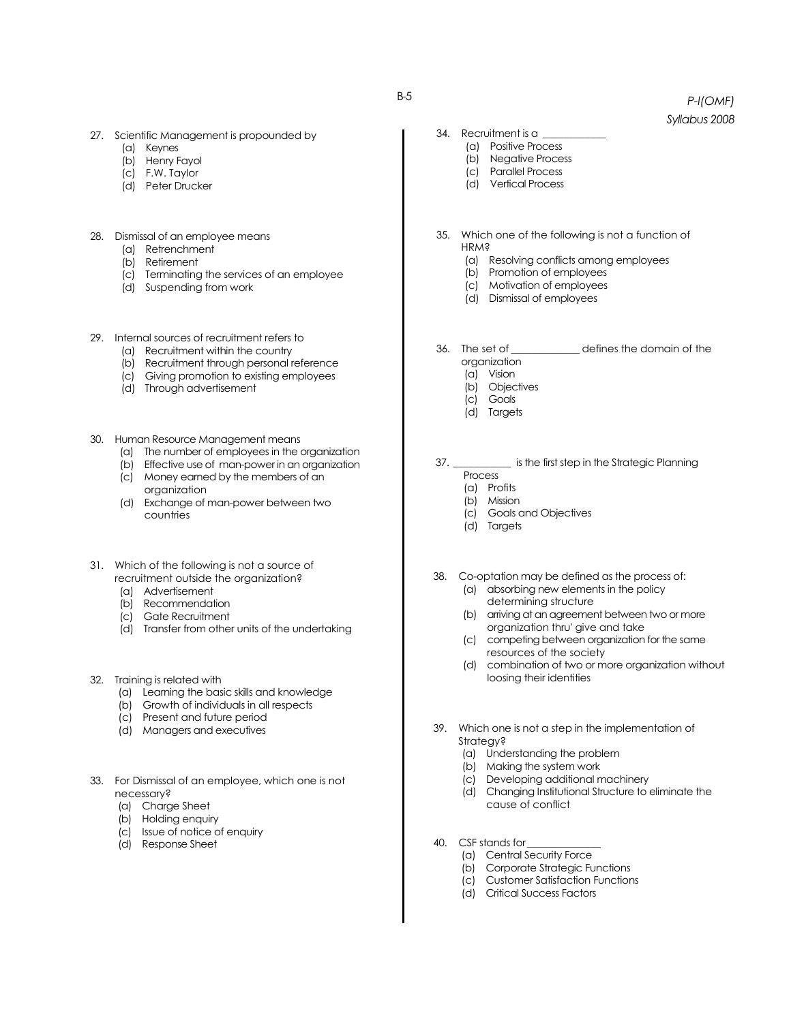- 27. Scientific Management is propounded by
	- (a) Keynes
	- (b) Henry Fayol
	- (c) F.W. Taylor
	- (d) Peter Drucker
- 28. Dismissal of an employee means
	- (a) Retrenchment
	- (b) Retirement
	- (c) Terminating the services of an employee
	- (d) Suspending from work
- 29. Internal sources of recruitment refers to
	- (a) Recruitment within the country
	- (b) Recruitment through personal reference
	- (c) Giving promotion to existing employees
	- (d) Through advertisement
- 30. Human Resource Management means
	- (a) The number of employees in the organization
	- (b) Effective use of man-power in an organization
	- (c) Money earned by the members of an organization
	- (d) Exchange of man-power between two countries
- 31. Which of the following is not a source of recruitment outside the organization?
	- (a) Advertisement
	- (b) Recommendation (c) Gate Recruitment
	-
	- (d) Transfer from other units of the undertaking
- 32. Training is related with
	- (a) Learning the basic skills and knowledge
	- (b) Growth of individuals in all respects
	- (c) Present and future period
	- (d) Managers and executives
- 33. For Dismissal of an employee, which one is not necessary?
	- (a) Charge Sheet
	- (b) Holding enquiry
	- (c) Issue of notice of enquiry
	- (d) Response Sheet
- 34. Recruitment is a
	- (a) Positive Process
	- (b) Negative Process
	- (c) Parallel Process
	- (d) Vertical Process
- 35. Which one of the following is not a function of HRM?
	- (a) Resolving conflicts among employees
	- (b) Promotion of employees
	- (c) Motivation of employees
	- (d) Dismissal of employees
- 36. The set of \_\_\_\_\_\_\_\_\_\_\_\_\_ defines the domain of the organization
	- (a) Vision
		- (b) Objectives
		- (c) Goals
		- (d) Targets

37. \_\_\_\_\_\_\_\_\_\_\_ is the first step in the Strategic Planning

- Process (a) Profits
- 
- (b) Mission
- (c) Goals and Objectives
- (d) Targets
- 38. Co-optation may be defined as the process of: (a) absorbing new elements in the policy determining structure
	- (b) arriving at an agreement between two or more organization thru' give and take
	- (c) competing between organization for the same resources of the society
	- (d) combination of two or more organization without loosing their identities
- 39. Which one is not a step in the implementation of Strategy?
	- (a) Understanding the problem
	- (b) Making the system work
	- (c) Developing additional machinery
	- (d) Changing Institutional Structure to eliminate the cause of conflict
- 40. CSF stands for
	- (a) Central Security Force
	- (b) Corporate Strategic Functions
	- (c) Customer Satisfaction Functions
	- (d) Critical Success Factors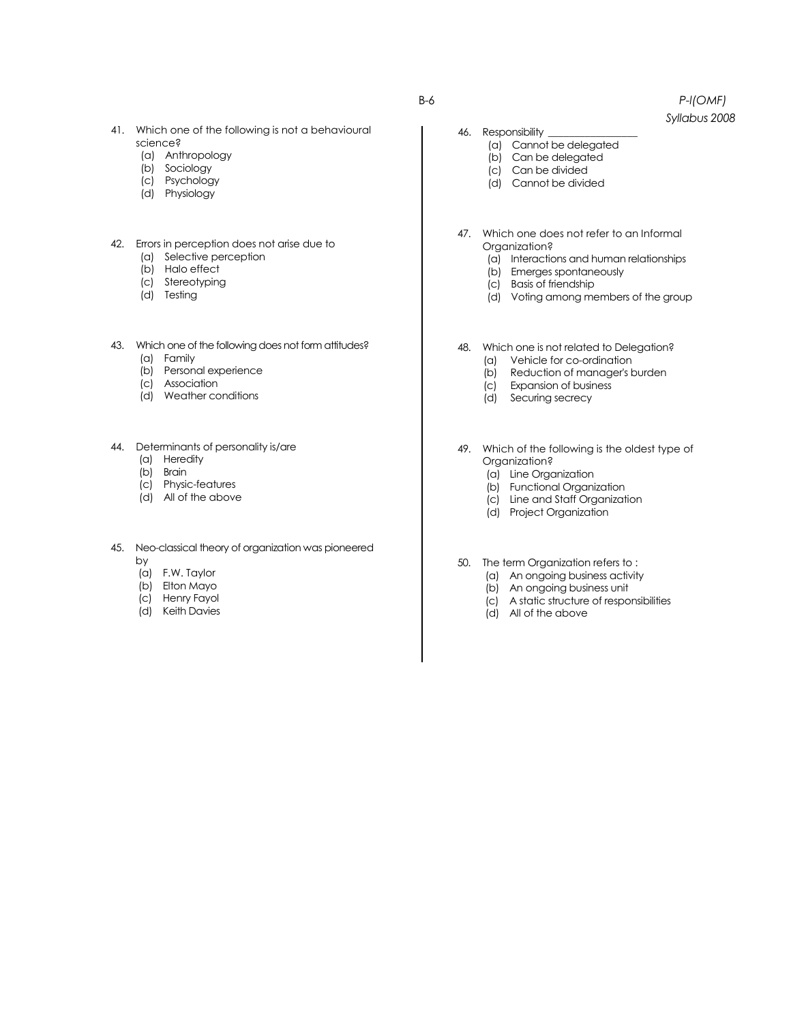- 41. Which one of the following is not a behavioural science?
	- (a) Anthropology
	- (b) Sociology
	- (c) Psychology
	- (d) Physiology
- 42. Errors in perception does not arise due to
	- (a) Selective perception
	- (b) Halo effect
	- (c) Stereotyping
	- (d) Testing
- 43. Which one of the following does not form attitudes?
	- (a) Family
	- (b) Personal experience
	- (c) Association
	- (d) Weather conditions
- 44. Determinants of personality is/are
	- (a) Heredity
	- (b) Brain
	- (c) Physic-features
	- (d) All of the above
- 45. Neo-classical theory of organization was pioneered by
	- (a) F.W. Taylor
	- (b) Elton Mayo
	- (c) Henry Fayol
	- (d) Keith Davies
- *Syllabus 2008*
- 46. Responsibility
	- (a) Cannot be delegated
	- (b) Can be delegated
	- (c) Can be divided
	- (d) Cannot be divided
- 47. Which one does not refer to an Informal Organization?
	- (a) Interactions and human relationships
	- (b) Emerges spontaneously
	- (c) Basis of friendship
	- (d) Voting among members of the group
- 48. Which one is not related to Delegation?
	- (a) Vehicle for co-ordination
	- (b) Reduction of manager's burden
	- (c) Expansion of business
	- (d) Securing secrecy
- 49. Which of the following is the oldest type of Organization?
	- (a) Line Organization
	- (b) Functional Organization
	- (c) Line and Staff Organization
	- (d) Project Organization
- 50. The term Organization refers to :
	- (a) An ongoing business activity
	- (b) An ongoing business unit
	- (c) A static structure of responsibilities
	- (d) All of the above

B-6 *P-l(OMF)*